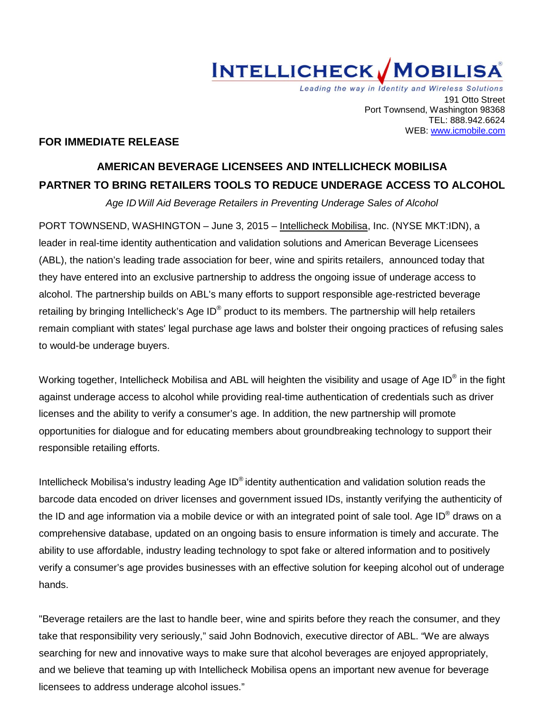

Leading the way in Identity and Wireless Solutions 191 Otto Street Port Townsend, Washington 98368 TEL: 888.942.6624 WEB: www.icmobile.com

## **FOR IMMEDIATE RELEASE**

# **AMERICAN BEVERAGE LICENSEES AND INTELLICHECK MOBILISA PARTNER TO BRING RETAILERS TOOLS TO REDUCE UNDERAGE ACCESS TO ALCOHOL**

*Age ID Will Aid Beverage Retailers in Preventing Underage Sales of Alcohol*

PORT TOWNSEND, WASHINGTON – June 3, 2015 – [Intellicheck Mobilisa,](http://www.icmobile.com/) Inc. (NYSE MKT:IDN), a leader in real-time identity authentication and validation solutions and American Beverage Licensees (ABL), the nation's leading trade association for beer, wine and spirits retailers, announced today that they have entered into an exclusive partnership to address the ongoing issue of underage access to alcohol. The partnership builds on ABL's many efforts to support responsible age-restricted beverage retailing by bringing Intellicheck's Age ID<sup>®</sup> product to its members. The partnership will help retailers remain compliant with states' legal purchase age laws and bolster their ongoing practices of refusing sales to would-be underage buyers.

Working together, Intellicheck Mobilisa and ABL will heighten the visibility and usage of Age ID<sup>®</sup> in the fight against underage access to alcohol while providing real-time authentication of credentials such as driver licenses and the ability to verify a consumer's age. In addition, the new partnership will promote opportunities for dialogue and for educating members about groundbreaking technology to support their responsible retailing efforts.

Intellicheck Mobilisa's industry leading Age ID® identity authentication and validation solution reads the barcode data encoded on driver licenses and government issued IDs, instantly verifying the authenticity of the ID and age information via a mobile device or with an integrated point of sale tool. Age ID® draws on a comprehensive database, updated on an ongoing basis to ensure information is timely and accurate. The ability to use affordable, industry leading technology to spot fake or altered information and to positively verify a consumer's age provides businesses with an effective solution for keeping alcohol out of underage hands.

"Beverage retailers are the last to handle beer, wine and spirits before they reach the consumer, and they take that responsibility very seriously," said John Bodnovich, executive director of ABL. "We are always searching for new and innovative ways to make sure that alcohol beverages are enjoyed appropriately, and we believe that teaming up with Intellicheck Mobilisa opens an important new avenue for beverage licensees to address underage alcohol issues."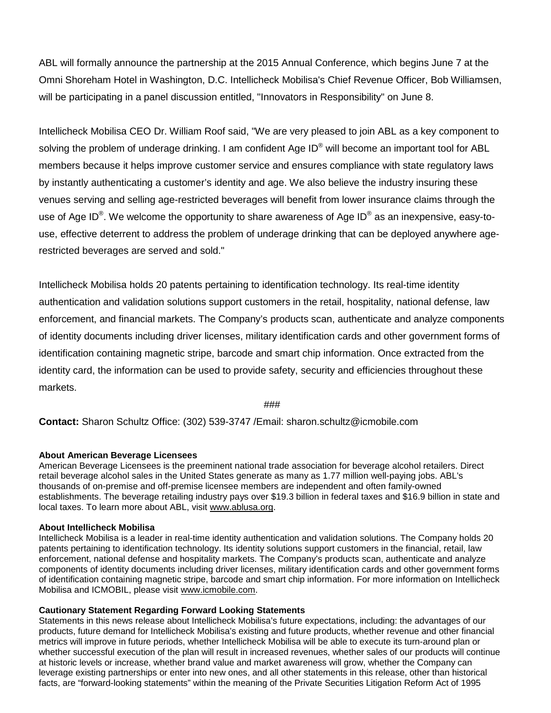ABL will formally announce the partnership at the 2015 Annual Conference, which begins June 7 at the Omni Shoreham Hotel in Washington, D.C. Intellicheck Mobilisa's Chief Revenue Officer, Bob Williamsen, will be participating in a panel discussion entitled, "Innovators in Responsibility" on June 8.

Intellicheck Mobilisa CEO Dr. William Roof said, "We are very pleased to join ABL as a key component to solving the problem of underage drinking. I am confident Age ID<sup>®</sup> will become an important tool for ABL members because it helps improve customer service and ensures compliance with state regulatory laws by instantly authenticating a customer's identity and age. We also believe the industry insuring these venues serving and selling age-restricted beverages will benefit from lower insurance claims through the use of Age ID<sup>®</sup>. We welcome the opportunity to share awareness of Age ID<sup>®</sup> as an inexpensive, easy-touse, effective deterrent to address the problem of underage drinking that can be deployed anywhere agerestricted beverages are served and sold."

Intellicheck Mobilisa holds 20 patents pertaining to identification technology. Its real-time identity authentication and validation solutions support customers in the retail, hospitality, national defense, law enforcement, and financial markets. The Company's products scan, authenticate and analyze components of identity documents including driver licenses, military identification cards and other government forms of identification containing magnetic stripe, barcode and smart chip information. Once extracted from the identity card, the information can be used to provide safety, security and efficiencies throughout these markets.

###

**Contact:** Sharon Schultz Office: (302) 539-3747 /Email: sharon.schultz@icmobile.com

## **About American Beverage Licensees**

American Beverage Licensees is the preeminent national trade association for beverage alcohol retailers. Direct retail beverage alcohol sales in the United States generate as many as 1.77 million well-paying jobs. ABL's thousands of on-premise and off-premise licensee members are independent and often family-owned establishments. The beverage retailing industry pays over \$19.3 billion in federal taxes and \$16.9 billion in state and local taxes. To learn more about ABL, visit [www.ablusa.org.](http://www.ablusa.org/)

### **About Intellicheck Mobilisa**

Intellicheck Mobilisa is a leader in real-time identity authentication and validation solutions. The Company holds 20 patents pertaining to identification technology. Its identity solutions support customers in the financial, retail, law enforcement, national defense and hospitality markets. The Company's products scan, authenticate and analyze components of identity documents including driver licenses, military identification cards and other government forms of identification containing magnetic stripe, barcode and smart chip information. For more information on Intellicheck Mobilisa and ICMOBIL, please visit [www.icmobile.com.](http://cts.businesswire.com/ct/CT?id=smartlink&url=http%3A%2F%2Fwww.icmobile.com&esheet=51019368&newsitemid=20150114005807&lan=en-US&anchor=www.icmobile.com&index=2&md5=5800a914d5e027dc42096dd564cd0f60)

### **Cautionary Statement Regarding Forward Looking Statements**

Statements in this news release about Intellicheck Mobilisa's future expectations, including: the advantages of our products, future demand for Intellicheck Mobilisa's existing and future products, whether revenue and other financial metrics will improve in future periods, whether Intellicheck Mobilisa will be able to execute its turn-around plan or whether successful execution of the plan will result in increased revenues, whether sales of our products will continue at historic levels or increase, whether brand value and market awareness will grow, whether the Company can leverage existing partnerships or enter into new ones, and all other statements in this release, other than historical facts, are "forward-looking statements" within the meaning of the Private Securities Litigation Reform Act of 1995